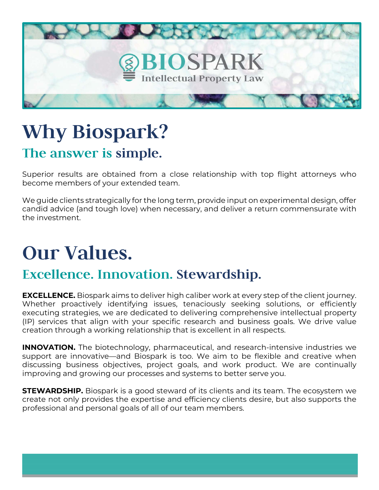

## **Why Biospark? The answer is simple.**

Superior results are obtained from a close relationship with top flight attorneys who become members of your extended team.

We guide clients strategically for the long term, provide input on experimental design, offer candid advice (and tough love) when necessary, and deliver a return commensurate with the investment.

# **Our Values.**

### **Excellence. Innovation. Stewardship.**

**EXCELLENCE.** Biospark aims to deliver high caliber work at every step of the client journey. Whether proactively identifying issues, tenaciously seeking solutions, or efficiently executing strategies, we are dedicated to delivering comprehensive intellectual property (IP) services that align with your specific research and business goals. We drive value creation through a working relationship that is excellent in all respects.

**INNOVATION.** The biotechnology, pharmaceutical, and research-intensive industries we support are innovative—and Biospark is too. We aim to be flexible and creative when discussing business objectives, project goals, and work product. We are continually improving and growing our processes and systems to better serve you.

**STEWARDSHIP.** Biospark is a good steward of its clients and its team. The ecosystem we create not only provides the expertise and efficiency clients desire, but also supports the professional and personal goals of all of our team members.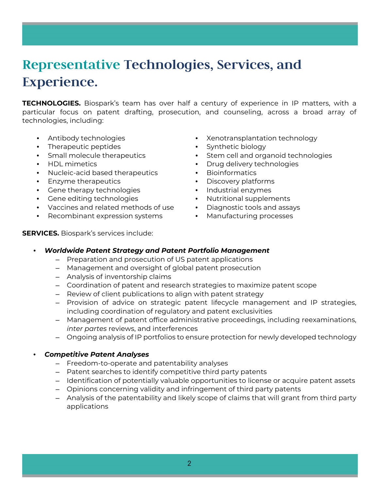### **Representative Technologies, Services, and Experience.**

**TECHNOLOGIES.** Biospark's team has over half a century of experience in IP matters, with a particular focus on patent drafting, prosecution, and counseling, across a broad array of technologies, including:

- Antibody technologies
- Therapeutic peptides
- Small molecule therapeutics
- HDL mimetics
- Nucleic-acid based therapeutics
- Enzyme therapeutics
- Gene therapy technologies
- Gene editing technologies
- Vaccines and related methods of use
- Recombinant expression systems
- Xenotransplantation technology
- Synthetic biology
- Stem cell and organoid technologies
- Drug delivery technologies
- Bioinformatics
- Discovery platforms
- Industrial enzymes
- Nutritional supplements
- Diagnostic tools and assays
- Manufacturing processes

**SERVICES.** Biospark's services include:

- *Worldwide Patent Strategy and Patent Portfolio Management*
	- Preparation and prosecution of US patent applications
	- Management and oversight of global patent prosecution
	- Analysis of inventorship claims
	- Coordination of patent and research strategies to maximize patent scope
	- Review of client publications to align with patent strategy
	- Provision of advice on strategic patent lifecycle management and IP strategies, including coordination of regulatory and patent exclusivities
	- Management of patent office administrative proceedings, including reexaminations, *inter partes* reviews, and interferences
	- Ongoing analysis of IP portfolios to ensure protection for newly developed technology

#### • *Competitive Patent Analyses*

- Freedom-to-operate and patentability analyses
- Patent searches to identify competitive third party patents
- Identification of potentially valuable opportunities to license or acquire patent assets
- Opinions concerning validity and infringement of third party patents
- Analysis of the patentability and likely scope of claims that will grant from third party applications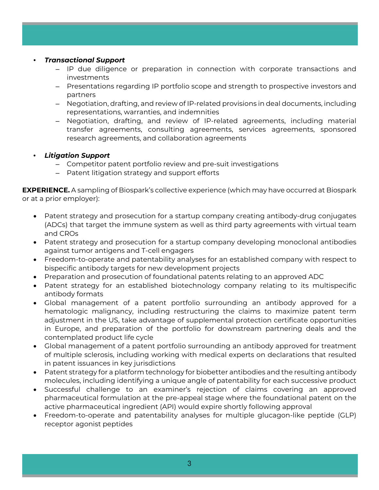- *Transactional Support*
	- IP due diligence or preparation in connection with corporate transactions and investments
	- Presentations regarding IP portfolio scope and strength to prospective investors and partners
	- Negotiation, drafting, and review of IP-related provisions in deal documents, including representations, warranties, and indemnities
	- Negotiation, drafting, and review of IP-related agreements, including material transfer agreements, consulting agreements, services agreements, sponsored research agreements, and collaboration agreements

#### • *Litigation Support*

- Competitor patent portfolio review and pre-suit investigations
- Patent litigation strategy and support efforts

**EXPERIENCE.** A sampling of Biospark's collective experience (which may have occurred at Biospark or at a prior employer):

- Patent strategy and prosecution for a startup company creating antibody-drug conjugates (ADCs) that target the immune system as well as third party agreements with virtual team and CROs
- Patent strategy and prosecution for a startup company developing monoclonal antibodies against tumor antigens and T-cell engagers
- Freedom-to-operate and patentability analyses for an established company with respect to bispecific antibody targets for new development projects
- Preparation and prosecution of foundational patents relating to an approved ADC
- Patent strategy for an established biotechnology company relating to its multispecific antibody formats
- Global management of a patent portfolio surrounding an antibody approved for a hematologic malignancy, including restructuring the claims to maximize patent term adjustment in the US, take advantage of supplemental protection certificate opportunities in Europe, and preparation of the portfolio for downstream partnering deals and the contemplated product life cycle
- Global management of a patent portfolio surrounding an antibody approved for treatment of multiple sclerosis, including working with medical experts on declarations that resulted in patent issuances in key jurisdictions
- Patent strategy for a platform technology for biobetter antibodies and the resulting antibody molecules, including identifying a unique angle of patentability for each successive product
- Successful challenge to an examiner's rejection of claims covering an approved pharmaceutical formulation at the pre-appeal stage where the foundational patent on the active pharmaceutical ingredient (API) would expire shortly following approval
- Freedom-to-operate and patentability analyses for multiple glucagon-like peptide (GLP) receptor agonist peptides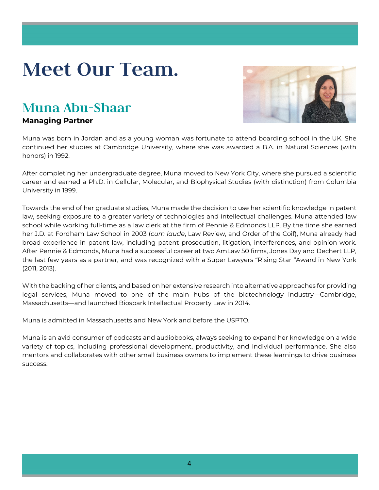# **Meet Our Team.**

### **Muna Abu-Shaar**

#### **Managing Partner**



Muna was born in Jordan and as a young woman was fortunate to attend boarding school in the UK. She continued her studies at Cambridge University, where she was awarded a B.A. in Natural Sciences (with honors) in 1992.

After completing her undergraduate degree, Muna moved to New York City, where she pursued a scientific career and earned a Ph.D. in Cellular, Molecular, and Biophysical Studies (with distinction) from Columbia University in 1999.

Towards the end of her graduate studies, Muna made the decision to use her scientific knowledge in patent law, seeking exposure to a greater variety of technologies and intellectual challenges. Muna attended law school while working full-time as a law clerk at the firm of Pennie & Edmonds LLP. By the time she earned her J.D. at Fordham Law School in 2003 (*cum laude*, Law Review, and Order of the Coif), Muna already had broad experience in patent law, including patent prosecution, litigation, interferences, and opinion work. After Pennie & Edmonds, Muna had a successful career at two AmLaw 50 firms, Jones Day and Dechert LLP, the last few years as a partner, and was recognized with a Super Lawyers "Rising Star "Award in New York (2011, 2013).

With the backing of her clients, and based on her extensive research into alternative approaches for providing legal services, Muna moved to one of the main hubs of the biotechnology industry—Cambridge, Massachusetts—and launched Biospark Intellectual Property Law in 2014.

Muna is admitted in Massachusetts and New York and before the USPTO.

Muna is an avid consumer of podcasts and audiobooks, always seeking to expand her knowledge on a wide variety of topics, including professional development, productivity, and individual performance. She also mentors and collaborates with other small business owners to implement these learnings to drive business success.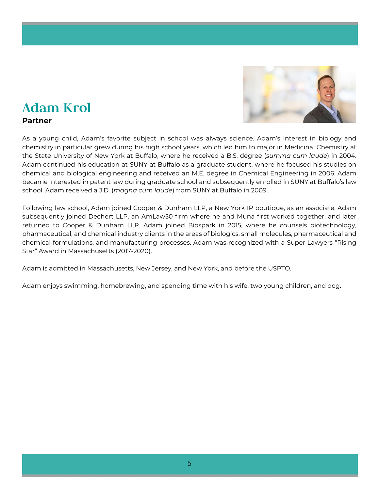

## **Adam Krol**

#### **Partner**

As a young child, Adam's favorite subject in school was always science. Adam's interest in biology and chemistry in particular grew during his high school years, which led him to major in Medicinal Chemistry at the State University of New York at Buffalo, where he received a B.S. degree (*summa cum laude*) in 2004. Adam continued his education at SUNY at Buffalo as a graduate student, where he focused his studies on chemical and biological engineering and received an M.E. degree in Chemical Engineering in 2006. Adam became interested in patent law during graduate school and subsequently enrolled in SUNY at Buffalo's law school. Adam received a J.D. (*magna cum laude*) from SUNY at Buffalo in 2009.

Following law school, Adam joined Cooper & Dunham LLP, a New York IP boutique, as an associate. Adam subsequently joined Dechert LLP, an AmLaw50 firm where he and Muna first worked together, and later returned to Cooper & Dunham LLP. Adam joined Biospark in 2015, where he counsels biotechnology, pharmaceutical, and chemical industry clients in the areas of biologics, small molecules, pharmaceutical and chemical formulations, and manufacturing processes. Adam was recognized with a Super Lawyers "Rising Star" Award in Massachusetts (2017-2020).

Adam is admitted in Massachusetts, New Jersey, and New York, and before the USPTO.

Adam enjoys swimming, homebrewing, and spending time with his wife, two young children, and dog.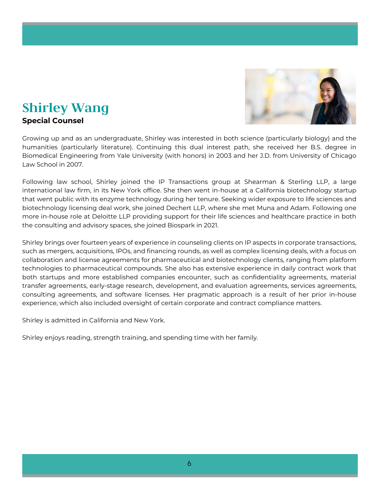

## **Shirley Wang**

#### **Special Counsel**

Growing up and as an undergraduate, Shirley was interested in both science (particularly biology) and the humanities (particularly literature). Continuing this dual interest path, she received her B.S. degree in Biomedical Engineering from Yale University (with honors) in 2003 and her J.D. from University of Chicago Law School in 2007.

Following law school, Shirley joined the IP Transactions group at Shearman & Sterling LLP, a large international law firm, in its New York office. She then went in-house at a California biotechnology startup that went public with its enzyme technology during her tenure. Seeking wider exposure to life sciences and biotechnology licensing deal work, she joined Dechert LLP, where she met Muna and Adam. Following one more in-house role at Deloitte LLP providing support for their life sciences and healthcare practice in both the consulting and advisory spaces, she joined Biospark in 2021.

Shirley brings over fourteen years of experience in counseling clients on IP aspects in corporate transactions, such as mergers, acquisitions, IPOs, and financing rounds, as well as complex licensing deals, with a focus on collaboration and license agreements for pharmaceutical and biotechnology clients, ranging from platform technologies to pharmaceutical compounds. She also has extensive experience in daily contract work that both startups and more established companies encounter, such as confidentiality agreements, material transfer agreements, early-stage research, development, and evaluation agreements, services agreements, consulting agreements, and software licenses. Her pragmatic approach is a result of her prior in-house experience, which also included oversight of certain corporate and contract compliance matters.

Shirley is admitted in California and New York.

Shirley enjoys reading, strength training, and spending time with her family.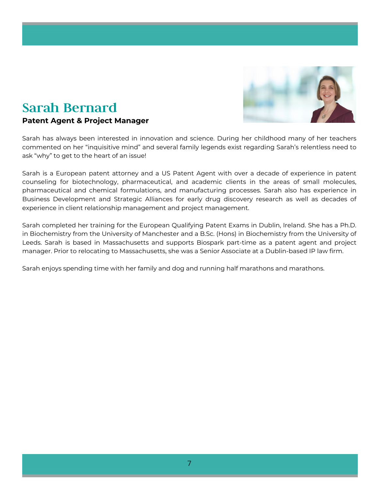

### **Sarah Bernard**

#### **Patent Agent & Project Manager**

Sarah has always been interested in innovation and science. During her childhood many of her teachers commented on her "inquisitive mind" and several family legends exist regarding Sarah's relentless need to ask "why" to get to the heart of an issue!

Sarah is a European patent attorney and a US Patent Agent with over a decade of experience in patent counseling for biotechnology, pharmaceutical, and academic clients in the areas of small molecules, pharmaceutical and chemical formulations, and manufacturing processes. Sarah also has experience in Business Development and Strategic Alliances for early drug discovery research as well as decades of experience in client relationship management and project management.

Sarah completed her training for the European Qualifying Patent Exams in Dublin, Ireland. She has a Ph.D. in Biochemistry from the University of Manchester and a B.Sc. (Hons) in Biochemistry from the University of Leeds. Sarah is based in Massachusetts and supports Biospark part-time as a patent agent and project manager. Prior to relocating to Massachusetts, she was a Senior Associate at a Dublin-based IP law firm.

Sarah enjoys spending time with her family and dog and running half marathons and marathons.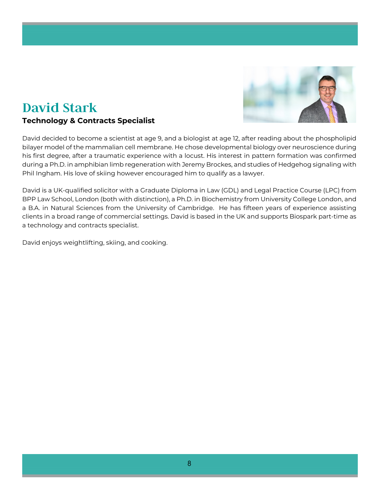

### **David Stark**

#### **Technology & Contracts Specialist**

David decided to become a scientist at age 9, and a biologist at age 12, after reading about the phospholipid bilayer model of the mammalian cell membrane. He chose developmental biology over neuroscience during his first degree, after a traumatic experience with a locust. His interest in pattern formation was confirmed during a Ph.D. in amphibian limb regeneration with Jeremy Brockes, and studies of Hedgehog signaling with Phil Ingham. His love of skiing however encouraged him to qualify as a lawyer.

David is a UK-qualified solicitor with a Graduate Diploma in Law (GDL) and Legal Practice Course (LPC) from BPP Law School, London (both with distinction), a Ph.D. in Biochemistry from University College London, and a B.A. in Natural Sciences from the University of Cambridge. He has fifteen years of experience assisting clients in a broad range of commercial settings. David is based in the UK and supports Biospark part-time as a technology and contracts specialist.

David enjoys weightlifting, skiing, and cooking.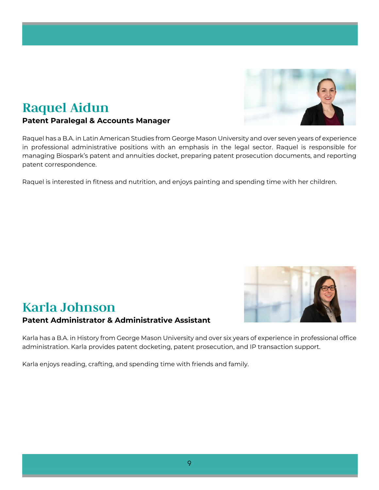### **Raquel Aidun**

#### **Patent Paralegal & Accounts Manager**

Raquel has a B.A. in Latin American Studies from George Mason University and over seven years of experience in professional administrative positions with an emphasis in the legal sector. Raquel is responsible for managing Biospark's patent and annuities docket, preparing patent prosecution documents, and reporting patent correspondence.

Raquel is interested in fitness and nutrition, and enjoys painting and spending time with her children.

## **Karla Johnson Patent Administrator & Administrative Assistant**

Karla has a B.A. in History from George Mason University and over six years of experience in professional office administration. Karla provides patent docketing, patent prosecution, and IP transaction support.

Karla enjoys reading, crafting, and spending time with friends and family.